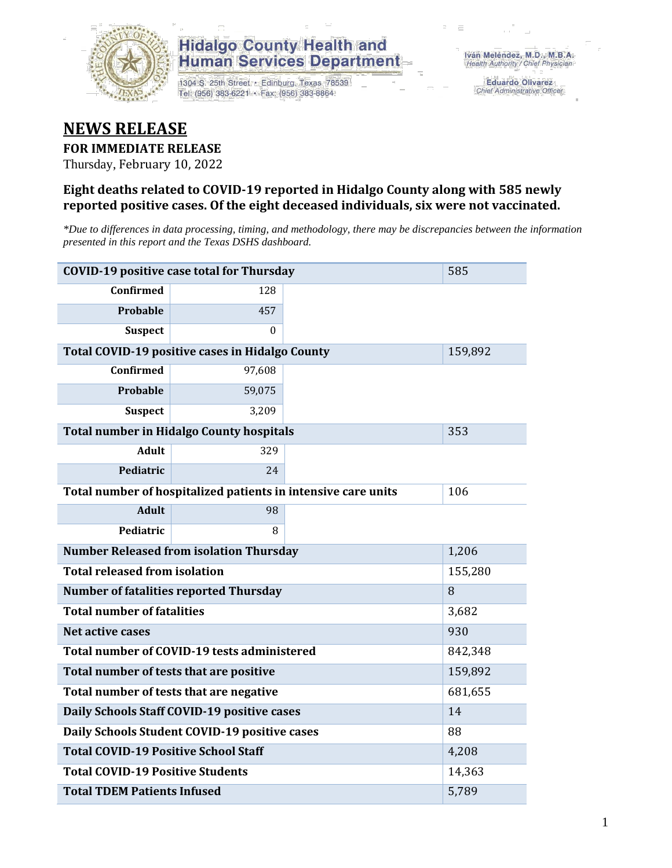

1304 S. 25th Street · Edinburg, Texas 78539 Tel: (956) 383-6221 · Fax: (956) 383-8864

**Eduardo Olivarez** Chief Administrative Officer

#### **NEWS RELEASE**

#### **FOR IMMEDIATE RELEASE**

Thursday, February 10, 2022

#### **Eight deaths related to COVID-19 reported in Hidalgo County along with 585 newly reported positive cases. Of the eight deceased individuals, six were not vaccinated.**

*\*Due to differences in data processing, timing, and methodology, there may be discrepancies between the information presented in this report and the Texas DSHS dashboard.*

| <b>COVID-19 positive case total for Thursday</b> | 585                                                           |         |         |
|--------------------------------------------------|---------------------------------------------------------------|---------|---------|
| <b>Confirmed</b>                                 | 128                                                           |         |         |
| Probable                                         | 457                                                           |         |         |
| <b>Suspect</b>                                   | $\Omega$                                                      |         |         |
| Total COVID-19 positive cases in Hidalgo County  |                                                               | 159,892 |         |
| <b>Confirmed</b>                                 | 97,608                                                        |         |         |
| <b>Probable</b>                                  | 59,075                                                        |         |         |
| <b>Suspect</b>                                   | 3,209                                                         |         |         |
|                                                  | <b>Total number in Hidalgo County hospitals</b>               |         | 353     |
| <b>Adult</b>                                     | 329                                                           |         |         |
| Pediatric                                        | 24                                                            |         |         |
|                                                  | Total number of hospitalized patients in intensive care units | 106     |         |
| <b>Adult</b>                                     | 98                                                            |         |         |
| Pediatric                                        | 8                                                             |         |         |
|                                                  | <b>Number Released from isolation Thursday</b>                |         | 1,206   |
| <b>Total released from isolation</b>             |                                                               |         | 155,280 |
|                                                  | <b>Number of fatalities reported Thursday</b>                 |         | 8       |
| <b>Total number of fatalities</b>                |                                                               |         | 3,682   |
| <b>Net active cases</b>                          |                                                               |         | 930     |
|                                                  | Total number of COVID-19 tests administered                   |         | 842,348 |
| Total number of tests that are positive          |                                                               |         | 159,892 |
|                                                  | Total number of tests that are negative                       |         | 681,655 |
|                                                  | Daily Schools Staff COVID-19 positive cases                   |         | 14      |
|                                                  | Daily Schools Student COVID-19 positive cases                 |         | 88      |
| <b>Total COVID-19 Positive School Staff</b>      |                                                               | 4,208   |         |
| <b>Total COVID-19 Positive Students</b>          |                                                               |         | 14,363  |
| <b>Total TDEM Patients Infused</b>               | 5,789                                                         |         |         |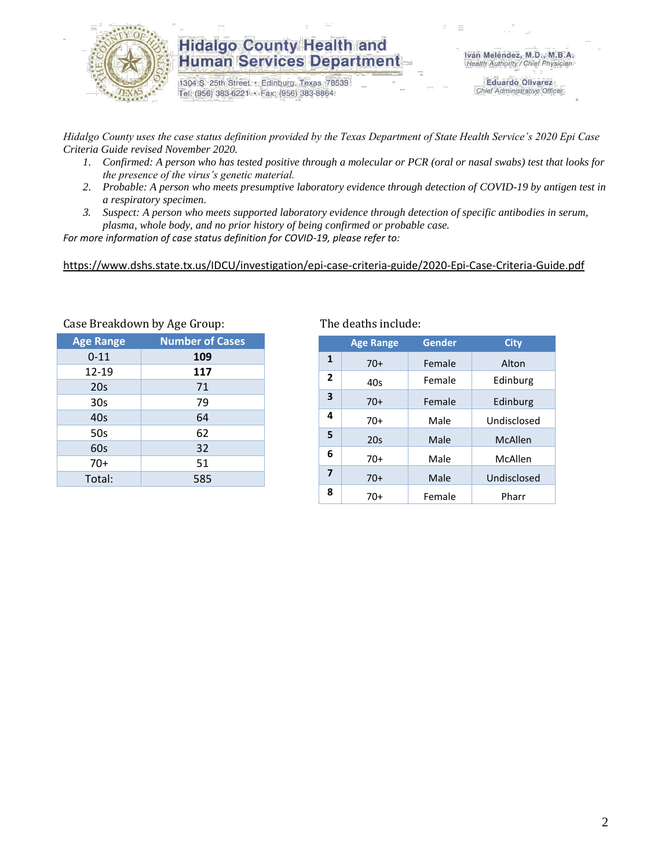

1304 S. 25th Street · Edinburg, Texas 78539 Tel: (956) 383-6221 · Fax: (956) 383-8864

**Eduardo Olivarez** Chief Administrative Officer

*Hidalgo County uses the case status definition provided by the Texas Department of State Health Service's 2020 Epi Case Criteria Guide revised November 2020.*

- *1. Confirmed: A person who has tested positive through a molecular or PCR (oral or nasal swabs) test that looks for the presence of the virus's genetic material.*
- *2. Probable: A person who meets presumptive laboratory evidence through detection of COVID-19 by antigen test in a respiratory specimen.*
- *3. Suspect: A person who meets supported laboratory evidence through detection of specific antibodies in serum, plasma, whole body, and no prior history of being confirmed or probable case.*

*For more information of case status definition for COVID-19, please refer to:*

<https://www.dshs.state.tx.us/IDCU/investigation/epi-case-criteria-guide/2020-Epi-Case-Criteria-Guide.pdf>

| Casc Dicanuuwii by Age Gruup. |                        |  |  |  |  |  |  |
|-------------------------------|------------------------|--|--|--|--|--|--|
| <b>Age Range</b>              | <b>Number of Cases</b> |  |  |  |  |  |  |
| $0 - 11$                      | 109                    |  |  |  |  |  |  |
| 12-19                         | 117                    |  |  |  |  |  |  |
| 20s                           | 71                     |  |  |  |  |  |  |
| 30s                           | 79                     |  |  |  |  |  |  |
| 40s                           | 64                     |  |  |  |  |  |  |
| 50s                           | 62                     |  |  |  |  |  |  |
| 60s                           | 32                     |  |  |  |  |  |  |
| 70+                           | 51                     |  |  |  |  |  |  |
| Total:                        | 585                    |  |  |  |  |  |  |
|                               |                        |  |  |  |  |  |  |

Case Breakdown by Age Group: The deaths include:

|                | <b>Age Range</b> | Gender | <b>City</b> |
|----------------|------------------|--------|-------------|
| 1              | $70+$            | Female | Alton       |
| $\overline{2}$ | 40s              | Female | Edinburg    |
| 3              | $70+$            | Female | Edinburg    |
| 4              | 70+              | Male   | Undisclosed |
| 5              | 20s              | Male   | McAllen     |
| 6              | 70+              | Male   | McAllen     |
| $\overline{ }$ | $70+$            | Male   | Undisclosed |
| 8              | 70+              | Female | Pharr       |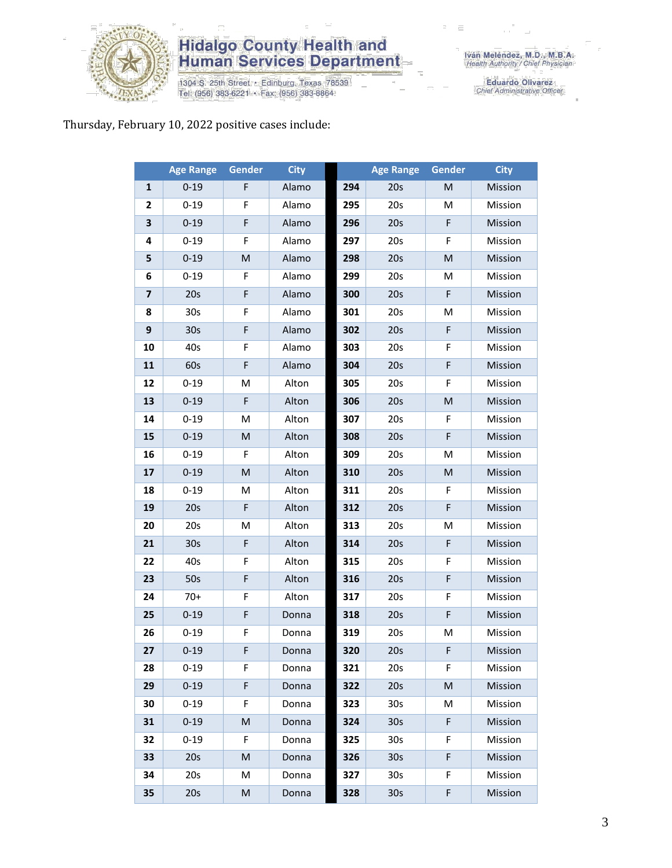

1304 S. 25th Street • Edinburg, Texas 78539<br>Tel: (956) 383-6221 • Fax: (956) 383-8864

Eduardo Olivarez<br>Chief Administrative Officer

#### Thursday, February 10, 2022 positive cases include:

|                         | <b>Age Range</b> | Gender      | <b>City</b> |     | <b>Age Range</b> | <b>Gender</b> | <b>City</b> |
|-------------------------|------------------|-------------|-------------|-----|------------------|---------------|-------------|
| $\mathbf{1}$            | $0 - 19$         | F           | Alamo       | 294 | 20s              | M             | Mission     |
| 2                       | $0 - 19$         | F           | Alamo       | 295 | 20s              | M             | Mission     |
| 3                       | $0 - 19$         | F           | Alamo       | 296 | 20s              | F             | Mission     |
| 4                       | $0 - 19$         | F           | Alamo       | 297 | 20s              | F             | Mission     |
| 5                       | $0 - 19$         | M           | Alamo       | 298 | 20s              | M             | Mission     |
| 6                       | $0 - 19$         | F           | Alamo       | 299 | 20s              | M             | Mission     |
| $\overline{\mathbf{z}}$ | 20s              | $\mathsf F$ | Alamo       | 300 | 20s              | F             | Mission     |
| 8                       | 30 <sub>s</sub>  | F           | Alamo       | 301 | 20s              | M             | Mission     |
| 9                       | 30 <sub>s</sub>  | F           | Alamo       | 302 | 20s              | F             | Mission     |
| 10                      | 40s              | F           | Alamo       | 303 | 20s              | F             | Mission     |
| 11                      | 60s              | F           | Alamo       | 304 | 20s              | F             | Mission     |
| 12                      | $0 - 19$         | M           | Alton       | 305 | 20s              | F             | Mission     |
| 13                      | $0 - 19$         | $\mathsf F$ | Alton       | 306 | 20s              | M             | Mission     |
| 14                      | $0 - 19$         | M           | Alton       | 307 | 20s              | F             | Mission     |
| 15                      | $0 - 19$         | M           | Alton       | 308 | 20s              | F             | Mission     |
| 16                      | $0 - 19$         | F           | Alton       | 309 | 20s              | M             | Mission     |
| 17                      | $0 - 19$         | M           | Alton       | 310 | 20s              | M             | Mission     |
| 18                      | $0 - 19$         | M           | Alton       | 311 | 20s              | F             | Mission     |
| 19                      | 20s              | $\mathsf F$ | Alton       | 312 | 20s              | F             | Mission     |
| 20                      | 20s              | M           | Alton       | 313 | 20s              | M             | Mission     |
| 21                      | 30 <sub>s</sub>  | $\mathsf F$ | Alton       | 314 | 20s              | F             | Mission     |
| 22                      | 40s              | F           | Alton       | 315 | 20s              | F             | Mission     |
| 23                      | 50s              | F           | Alton       | 316 | 20s              | F             | Mission     |
| 24                      | $70+$            | F           | Alton       | 317 | 20s              | F             | Mission     |
| 25                      | $0 - 19$         | F           | Donna       | 318 | 20s              | F             | Mission     |
| 26                      | $0 - 19$         | F           | Donna       | 319 | 20s              | M             | Mission     |
| 27                      | $0 - 19$         | F           | Donna       | 320 | 20s              | F             | Mission     |
| 28                      | $0 - 19$         | F           | Donna       | 321 | 20s              | F             | Mission     |
| 29                      | $0 - 19$         | F           | Donna       | 322 | 20s              | M             | Mission     |
| 30                      | $0 - 19$         | F           | Donna       | 323 | 30 <sub>s</sub>  | M             | Mission     |
| 31                      | $0 - 19$         | M           | Donna       | 324 | 30 <sub>s</sub>  | F             | Mission     |
| 32                      | $0 - 19$         | F           | Donna       | 325 | 30 <sub>s</sub>  | F             | Mission     |
| 33                      | 20s              | M           | Donna       | 326 | 30 <sub>s</sub>  | F             | Mission     |
| 34                      | 20s              | М           | Donna       | 327 | 30 <sub>s</sub>  | F             | Mission     |
| 35                      | 20s              | M           | Donna       | 328 | 30 <sub>s</sub>  | F             | Mission     |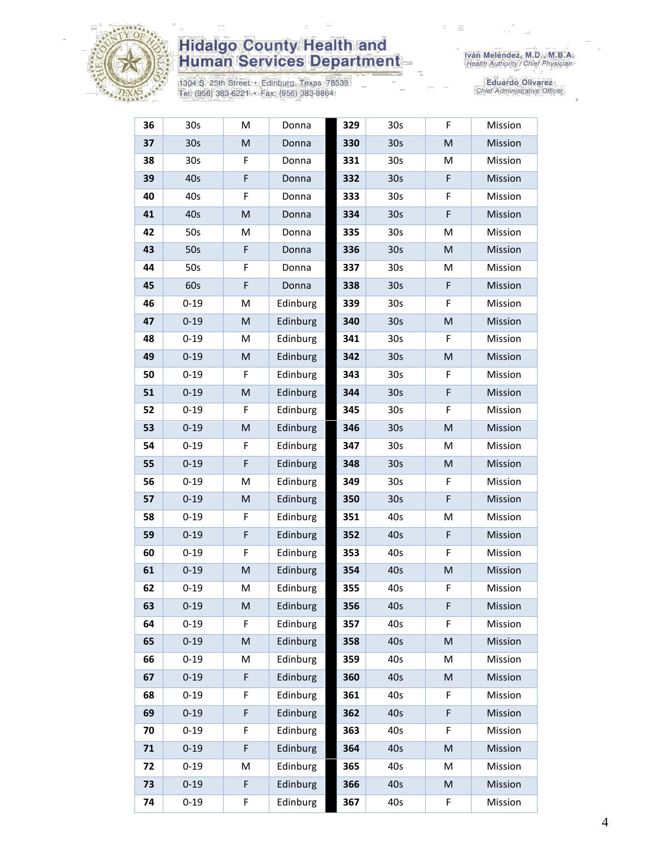

1304 S. 25th Street • Edinburg, Texas 78539<br>Tel: (956) 383-6221 • Fax: (956) 383-8864

| 36 | 30s             | Μ | Donna    | 329 | 30s             | F         | Mission |
|----|-----------------|---|----------|-----|-----------------|-----------|---------|
| 37 | 30 <sub>s</sub> | M | Donna    | 330 | 30 <sub>s</sub> | M         | Mission |
| 38 | 30s             | F | Donna    | 331 | 30 <sub>s</sub> | M         | Mission |
| 39 | 40s             | F | Donna    | 332 | 30 <sub>s</sub> | F         | Mission |
| 40 | 40s             | F | Donna    | 333 | 30s             | F         | Mission |
| 41 | 40s             | M | Donna    | 334 | 30 <sub>s</sub> | F         | Mission |
| 42 | 50s             | M | Donna    | 335 | 30s             | M         | Mission |
| 43 | 50s             | F | Donna    | 336 | 30 <sub>s</sub> | M         | Mission |
| 44 | 50s             | F | Donna    | 337 | 30s             | M         | Mission |
| 45 | 60s             | F | Donna    | 338 | 30 <sub>s</sub> | F         | Mission |
| 46 | $0 - 19$        | M | Edinburg | 339 | 30s             | F         | Mission |
| 47 | $0 - 19$        | M | Edinburg | 340 | 30 <sub>s</sub> | M         | Mission |
| 48 | $0 - 19$        | M | Edinburg | 341 | 30s             | F         | Mission |
| 49 | $0 - 19$        | M | Edinburg | 342 | 30 <sub>s</sub> | M         | Mission |
| 50 | $0 - 19$        | F | Edinburg | 343 | 30s             | F         | Mission |
| 51 | $0 - 19$        | M | Edinburg | 344 | 30 <sub>s</sub> | F         | Mission |
| 52 | $0 - 19$        | F | Edinburg | 345 | 30s             | F         | Mission |
| 53 | $0 - 19$        | M | Edinburg | 346 | 30 <sub>s</sub> | M         | Mission |
| 54 | $0 - 19$        | F | Edinburg | 347 | 30s             | м         | Mission |
| 55 | $0 - 19$        | F | Edinburg | 348 | 30 <sub>s</sub> | M         | Mission |
| 56 | $0 - 19$        | M | Edinburg | 349 | 30 <sub>s</sub> | F         | Mission |
| 57 | $0 - 19$        | M | Edinburg | 350 | 30 <sub>s</sub> | F         | Mission |
| 58 | $0 - 19$        | F | Edinburg | 351 | 40s             | M         | Mission |
| 59 | $0 - 19$        | F | Edinburg | 352 | 40s             | F         | Mission |
| 60 | $0 - 19$        | F | Edinburg | 353 | 40s             | F         | Mission |
| 61 | $0 - 19$        | M | Edinburg | 354 | 40s             | ${\sf M}$ | Mission |
| 62 | $0 - 19$        | M | Edinburg | 355 | 40s             | F         | Mission |
| 63 | $0 - 19$        | M | Edinburg | 356 | 40s             | F         | Mission |
| 64 | $0 - 19$        | F | Edinburg | 357 | 40s             | F         | Mission |
| 65 | $0 - 19$        | M | Edinburg | 358 | 40s             | M         | Mission |
| 66 | $0 - 19$        | M | Edinburg | 359 | 40s             | M         | Mission |
| 67 | $0 - 19$        | F | Edinburg | 360 | 40s             | M         | Mission |
| 68 | $0 - 19$        | F | Edinburg | 361 | 40s             | F         | Mission |
| 69 | $0 - 19$        | F | Edinburg | 362 | 40s             | F         | Mission |
| 70 | $0 - 19$        | F | Edinburg | 363 | 40s             | F         | Mission |
| 71 | $0 - 19$        | F | Edinburg | 364 | 40s             | M         | Mission |
| 72 | $0 - 19$        | M | Edinburg | 365 | 40s             | M         | Mission |
| 73 | $0 - 19$        | F | Edinburg | 366 | 40s             | M         | Mission |
| 74 | $0 - 19$        | F | Edinburg | 367 | 40s             | F         | Mission |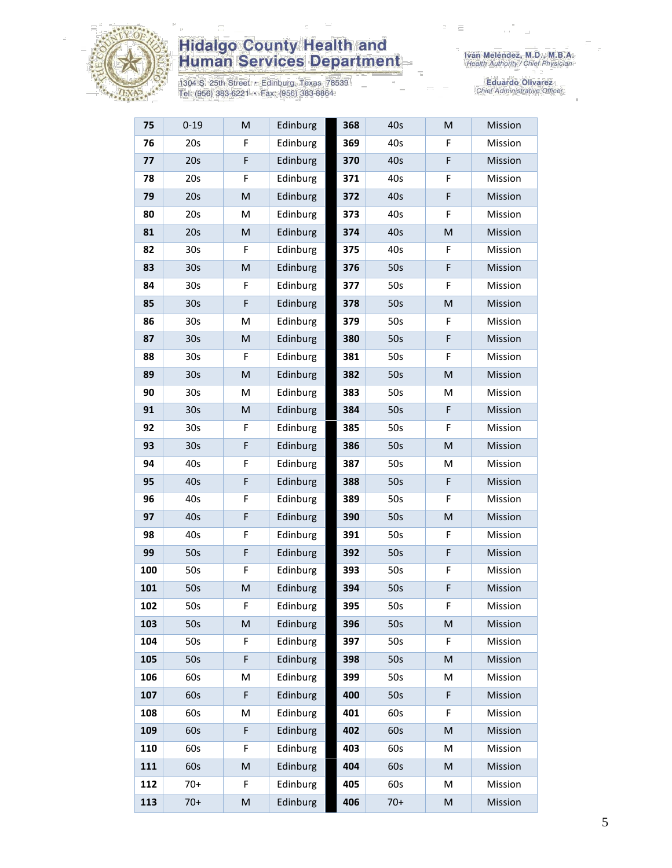

1304 S. 25th Street • Edinburg, Texas 78539<br>Tel: (956) 383-6221 • Fax: (956) 383-8864

| 75  | $0 - 19$        | ${\sf M}$                                                                                                  | Edinburg | 368 | 40s   | M         | Mission |
|-----|-----------------|------------------------------------------------------------------------------------------------------------|----------|-----|-------|-----------|---------|
| 76  | 20s             | F                                                                                                          | Edinburg | 369 | 40s   | F         | Mission |
| 77  | 20s             | F                                                                                                          | Edinburg | 370 | 40s   | F         | Mission |
| 78  | 20s             | F                                                                                                          | Edinburg | 371 | 40s   | F         | Mission |
| 79  | 20s             | $\mathsf{M}% _{T}=\mathsf{M}_{T}\!\left( a,b\right) ,\ \mathsf{M}_{T}=\mathsf{M}_{T}\!\left( a,b\right) ,$ | Edinburg | 372 | 40s   | F         | Mission |
| 80  | 20s             | M                                                                                                          | Edinburg | 373 | 40s   | F         | Mission |
| 81  | 20s             | ${\sf M}$                                                                                                  | Edinburg | 374 | 40s   | M         | Mission |
| 82  | 30 <sub>s</sub> | F                                                                                                          | Edinburg | 375 | 40s   | F         | Mission |
| 83  | 30 <sub>s</sub> | M                                                                                                          | Edinburg | 376 | 50s   | F         | Mission |
| 84  | 30 <sub>s</sub> | F                                                                                                          | Edinburg | 377 | 50s   | F         | Mission |
| 85  | 30 <sub>s</sub> | F                                                                                                          | Edinburg | 378 | 50s   | M         | Mission |
| 86  | 30 <sub>s</sub> | M                                                                                                          | Edinburg | 379 | 50s   | F         | Mission |
| 87  | 30s             | ${\sf M}$                                                                                                  | Edinburg | 380 | 50s   | F         | Mission |
| 88  | 30s             | F                                                                                                          | Edinburg | 381 | 50s   | F         | Mission |
| 89  | 30 <sub>s</sub> | M                                                                                                          | Edinburg | 382 | 50s   | M         | Mission |
| 90  | 30 <sub>s</sub> | M                                                                                                          | Edinburg | 383 | 50s   | M         | Mission |
| 91  | 30 <sub>s</sub> | M                                                                                                          | Edinburg | 384 | 50s   | F         | Mission |
| 92  | 30 <sub>s</sub> | F                                                                                                          | Edinburg | 385 | 50s   | F         | Mission |
| 93  | 30s             | F                                                                                                          | Edinburg | 386 | 50s   | ${\sf M}$ | Mission |
| 94  | 40s             | F                                                                                                          | Edinburg | 387 | 50s   | M         | Mission |
| 95  | 40s             | F                                                                                                          | Edinburg | 388 | 50s   | F         | Mission |
| 96  | 40s             | F                                                                                                          | Edinburg | 389 | 50s   | F         | Mission |
| 97  | 40s             | F                                                                                                          | Edinburg | 390 | 50s   | ${\sf M}$ | Mission |
| 98  | 40s             | F                                                                                                          | Edinburg | 391 | 50s   | F         | Mission |
| 99  | 50s             | F                                                                                                          | Edinburg | 392 | 50s   | F         | Mission |
| 100 | 50s             | F                                                                                                          | Edinburg | 393 | 50s   | F         | Mission |
| 101 | 50s             | ${\sf M}$                                                                                                  | Edinburg | 394 | 50s   | F         | Mission |
| 102 | 50s             | F                                                                                                          | Edinburg | 395 | 50s   | F         | Mission |
| 103 | 50s             | M                                                                                                          | Edinburg | 396 | 50s   | M         | Mission |
| 104 | 50s             | F                                                                                                          | Edinburg | 397 | 50s   | F         | Mission |
| 105 | 50s             | F                                                                                                          | Edinburg | 398 | 50s   | M         | Mission |
| 106 | 60s             | M                                                                                                          | Edinburg | 399 | 50s   | M         | Mission |
| 107 | 60s             | F                                                                                                          | Edinburg | 400 | 50s   | F         | Mission |
| 108 | 60s             | M                                                                                                          | Edinburg | 401 | 60s   | F         | Mission |
| 109 | 60s             | F                                                                                                          | Edinburg | 402 | 60s   | M         | Mission |
| 110 | 60s             | F                                                                                                          | Edinburg | 403 | 60s   | M         | Mission |
| 111 | 60s             | ${\sf M}$                                                                                                  | Edinburg | 404 | 60s   | M         | Mission |
| 112 | $70+$           | F                                                                                                          | Edinburg | 405 | 60s   | M         | Mission |
| 113 | $70+$           | ${\sf M}$                                                                                                  | Edinburg | 406 | $70+$ | M         | Mission |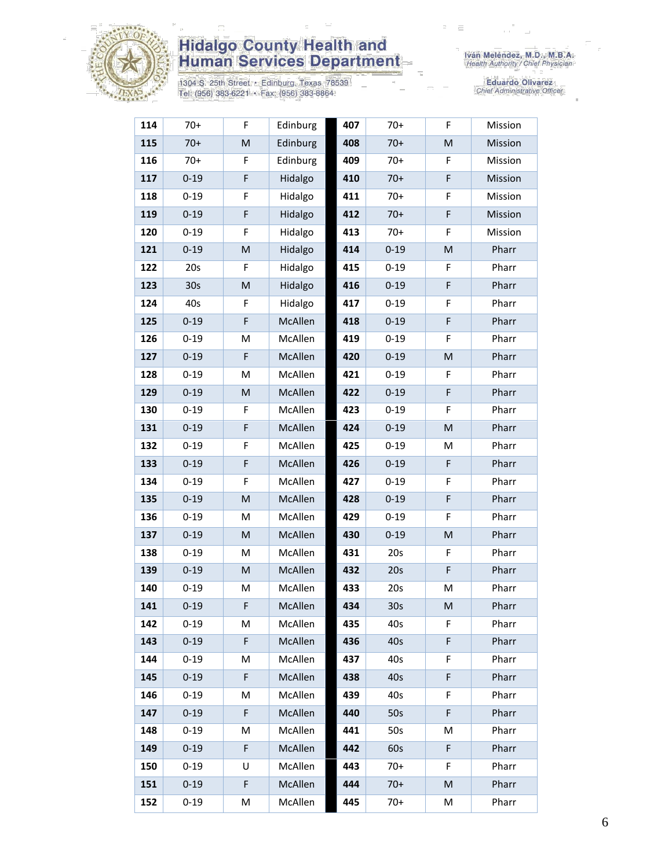

1304 S. 25th Street • Edinburg, Texas 78539<br>Tel: (956) 383-6221 • Fax: (956) 383-8864

| 114 | $70+$           | F           | Edinburg | 407 | $70+$           | F         | Mission |
|-----|-----------------|-------------|----------|-----|-----------------|-----------|---------|
| 115 | $70+$           | M           | Edinburg | 408 | $70+$           | ${\sf M}$ | Mission |
| 116 | $70+$           | F           | Edinburg | 409 | $70+$           | F         | Mission |
| 117 | $0 - 19$        | F           | Hidalgo  | 410 | $70+$           | F         | Mission |
| 118 | $0 - 19$        | F           | Hidalgo  | 411 | $70+$           | F         | Mission |
| 119 | $0 - 19$        | F           | Hidalgo  | 412 | $70+$           | F         | Mission |
| 120 | $0 - 19$        | F           | Hidalgo  | 413 | $70+$           | F         | Mission |
| 121 | $0 - 19$        | ${\sf M}$   | Hidalgo  | 414 | $0 - 19$        | M         | Pharr   |
| 122 | 20s             | F           | Hidalgo  | 415 | $0 - 19$        | F         | Pharr   |
| 123 | 30 <sub>s</sub> | M           | Hidalgo  | 416 | $0 - 19$        | F         | Pharr   |
| 124 | 40s             | F           | Hidalgo  | 417 | $0 - 19$        | F         | Pharr   |
| 125 | $0 - 19$        | F           | McAllen  | 418 | $0 - 19$        | F         | Pharr   |
| 126 | $0 - 19$        | M           | McAllen  | 419 | $0 - 19$        | F         | Pharr   |
| 127 | $0 - 19$        | $\mathsf F$ | McAllen  | 420 | $0 - 19$        | M         | Pharr   |
| 128 | $0 - 19$        | M           | McAllen  | 421 | $0 - 19$        | F         | Pharr   |
| 129 | $0 - 19$        | M           | McAllen  | 422 | $0 - 19$        | F         | Pharr   |
| 130 | $0 - 19$        | F           | McAllen  | 423 | $0 - 19$        | F         | Pharr   |
| 131 | $0 - 19$        | F           | McAllen  | 424 | $0 - 19$        | M         | Pharr   |
| 132 | $0 - 19$        | F           | McAllen  | 425 | $0 - 19$        | M         | Pharr   |
| 133 | $0 - 19$        | F           | McAllen  | 426 | $0 - 19$        | F         | Pharr   |
| 134 | $0 - 19$        | F           | McAllen  | 427 | $0 - 19$        | F         | Pharr   |
| 135 | $0 - 19$        | ${\sf M}$   | McAllen  | 428 | $0 - 19$        | F         | Pharr   |
| 136 | $0 - 19$        | M           | McAllen  | 429 | $0 - 19$        | F         | Pharr   |
| 137 | $0 - 19$        | M           | McAllen  | 430 | $0 - 19$        | M         | Pharr   |
| 138 | $0 - 19$        | M           | McAllen  | 431 | 20s             | F         | Pharr   |
| 139 | $0 - 19$        | ${\sf M}$   | McAllen  | 432 | 20s             | F         | Pharr   |
| 140 | $0 - 19$        | M           | McAllen  | 433 | 20s             | M         | Pharr   |
| 141 | $0 - 19$        | F           | McAllen  | 434 | 30 <sub>s</sub> | M         | Pharr   |
| 142 | $0 - 19$        | M           | McAllen  | 435 | 40s             | F         | Pharr   |
| 143 | $0 - 19$        | F           | McAllen  | 436 | 40s             | F         | Pharr   |
| 144 | $0 - 19$        | M           | McAllen  | 437 | 40s             | F         | Pharr   |
| 145 | $0 - 19$        | F           | McAllen  | 438 | 40s             | F         | Pharr   |
| 146 | $0 - 19$        | М           | McAllen  | 439 | 40s             | F         | Pharr   |
| 147 | $0 - 19$        | F           | McAllen  | 440 | 50s             | F         | Pharr   |
| 148 | $0 - 19$        | М           | McAllen  | 441 | 50s             | M         | Pharr   |
| 149 | $0 - 19$        | F           | McAllen  | 442 | 60s             | F         | Pharr   |
| 150 | $0 - 19$        | U           | McAllen  | 443 | $70+$           | F         | Pharr   |
| 151 | $0 - 19$        | F           | McAllen  | 444 | $70+$           | M         | Pharr   |
| 152 | $0 - 19$        | M           | McAllen  | 445 | $70+$           | M         | Pharr   |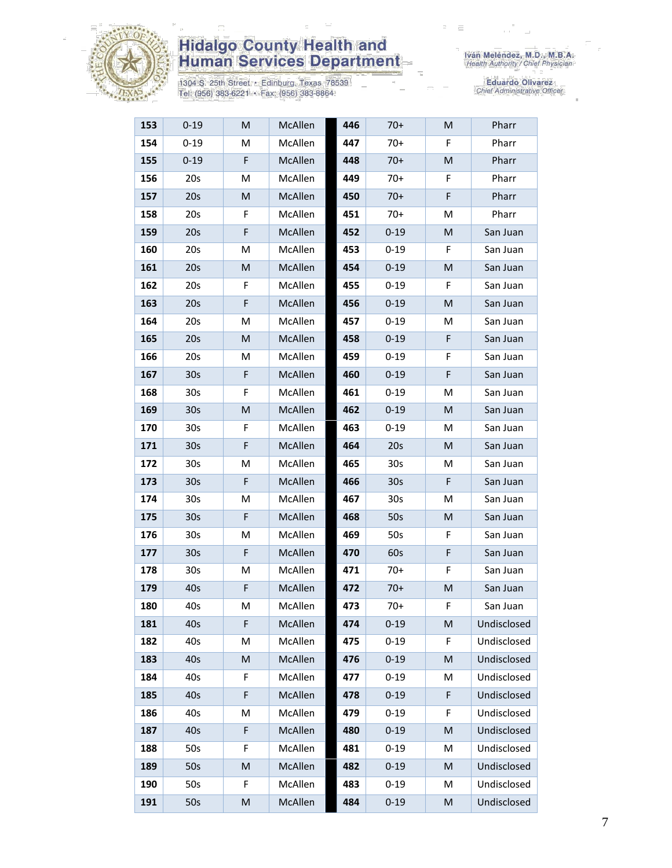

1304 S. 25th Street • Edinburg, Texas 78539<br>Tel: (956) 383-6221 • Fax: (956) 383-8864

| 153 | $0 - 19$        | M | McAllen | 446 | $70+$           | М | Pharr       |
|-----|-----------------|---|---------|-----|-----------------|---|-------------|
| 154 | $0 - 19$        | M | McAllen | 447 | $70+$           | F | Pharr       |
| 155 | $0 - 19$        | F | McAllen | 448 | $70+$           | M | Pharr       |
| 156 | 20s             | М | McAllen | 449 | $70+$           | F | Pharr       |
| 157 | 20s             | M | McAllen | 450 | $70+$           | F | Pharr       |
| 158 | 20s             | F | McAllen | 451 | $70+$           | м | Pharr       |
| 159 | 20s             | F | McAllen | 452 | $0 - 19$        | M | San Juan    |
| 160 | 20s             | Μ | McAllen | 453 | $0 - 19$        | F | San Juan    |
| 161 | 20s             | M | McAllen | 454 | $0 - 19$        | M | San Juan    |
| 162 | 20s             | F | McAllen | 455 | $0 - 19$        | F | San Juan    |
| 163 | 20s             | F | McAllen | 456 | $0 - 19$        | M | San Juan    |
| 164 | 20s             | М | McAllen | 457 | $0 - 19$        | м | San Juan    |
| 165 | 20s             | M | McAllen | 458 | $0 - 19$        | F | San Juan    |
| 166 | 20s             | М | McAllen | 459 | $0 - 19$        | F | San Juan    |
| 167 | 30 <sub>s</sub> | F | McAllen | 460 | $0 - 19$        | F | San Juan    |
| 168 | 30s             | F | McAllen | 461 | $0 - 19$        | M | San Juan    |
| 169 | 30 <sub>s</sub> | M | McAllen | 462 | $0 - 19$        | M | San Juan    |
| 170 | 30s             | F | McAllen | 463 | $0 - 19$        | м | San Juan    |
| 171 | 30 <sub>s</sub> | F | McAllen | 464 | 20s             | M | San Juan    |
| 172 | 30 <sub>s</sub> | M | McAllen | 465 | 30 <sub>s</sub> | M | San Juan    |
| 173 | 30 <sub>s</sub> | F | McAllen | 466 | 30 <sub>s</sub> | F | San Juan    |
| 174 | 30 <sub>s</sub> | M | McAllen | 467 | 30s             | м | San Juan    |
| 175 | 30 <sub>s</sub> | F | McAllen | 468 | 50s             | M | San Juan    |
| 176 | 30s             | M | McAllen | 469 | 50s             | F | San Juan    |
| 177 | 30 <sub>s</sub> | F | McAllen | 470 | 60s             | F | San Juan    |
| 178 | 30 <sub>s</sub> | м | McAllen | 471 | $70+$           | F | San Juan    |
| 179 | 40s             | F | McAllen | 472 | $70+$           | M | San Juan    |
| 180 | 40s             | М | McAllen | 473 | $70+$           | F | San Juan    |
| 181 | 40s             | F | McAllen | 474 | $0 - 19$        | M | Undisclosed |
| 182 | 40s             | М | McAllen | 475 | $0 - 19$        | F | Undisclosed |
| 183 | 40s             | M | McAllen | 476 | $0 - 19$        | M | Undisclosed |
| 184 | 40s             | F | McAllen | 477 | $0 - 19$        | M | Undisclosed |
| 185 | 40s             | F | McAllen | 478 | $0 - 19$        | F | Undisclosed |
| 186 | 40s             | М | McAllen | 479 | $0 - 19$        | F | Undisclosed |
| 187 | 40s             | F | McAllen | 480 | $0 - 19$        | M | Undisclosed |
| 188 | 50s             | F | McAllen | 481 | $0 - 19$        | M | Undisclosed |
| 189 | 50s             | M | McAllen | 482 | $0 - 19$        | M | Undisclosed |
| 190 | 50s             | F | McAllen | 483 | $0 - 19$        | M | Undisclosed |
| 191 | 50s             | M | McAllen | 484 | $0 - 19$        | M | Undisclosed |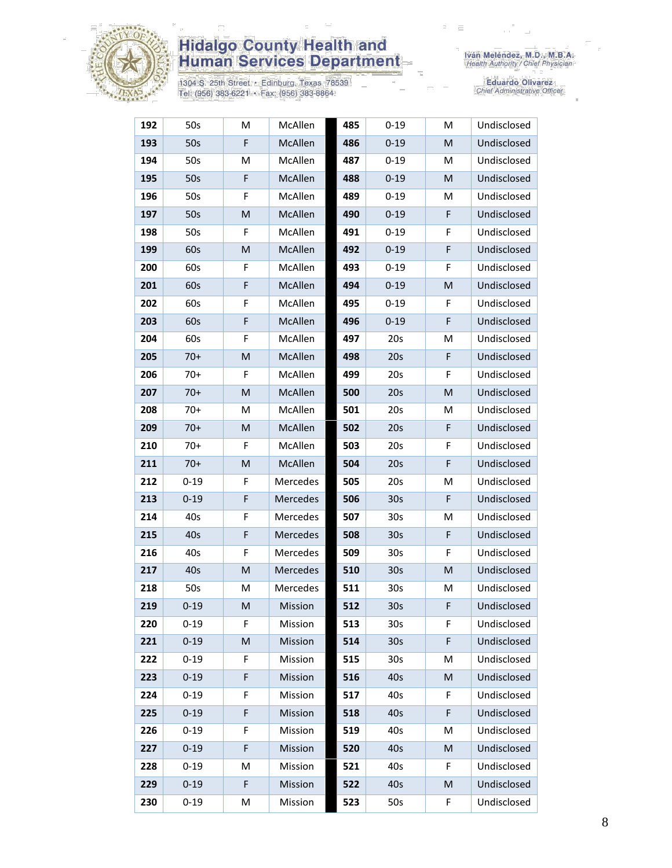

1304 S. 25th Street • Edinburg, Texas 78539<br>Tel: (956) 383-6221 • Fax: (956) 383-8864

Iván Meléndez, M.D., M.B.A.<br>Health Authority / Chief Physician

| 192 | 50s      | M  | McAllen  | 485 | $0 - 19$        | M | Undisclosed |
|-----|----------|----|----------|-----|-----------------|---|-------------|
| 193 | 50s      | F  | McAllen  | 486 | $0 - 19$        | M | Undisclosed |
| 194 | 50s      | M  | McAllen  | 487 | $0 - 19$        | М | Undisclosed |
| 195 | 50s      | F  | McAllen  | 488 | $0 - 19$        | M | Undisclosed |
| 196 | 50s      | F  | McAllen  | 489 | $0 - 19$        | M | Undisclosed |
| 197 | 50s      | M  | McAllen  | 490 | $0 - 19$        | F | Undisclosed |
| 198 | 50s      | F. | McAllen  | 491 | $0 - 19$        | F | Undisclosed |
| 199 | 60s      | M  | McAllen  | 492 | $0 - 19$        | F | Undisclosed |
| 200 | 60s      | F  | McAllen  | 493 | $0 - 19$        | F | Undisclosed |
| 201 | 60s      | F  | McAllen  | 494 | $0 - 19$        | M | Undisclosed |
| 202 | 60s      | F  | McAllen  | 495 | $0 - 19$        | F | Undisclosed |
| 203 | 60s      | F  | McAllen  | 496 | $0 - 19$        | F | Undisclosed |
| 204 | 60s      | F  | McAllen  | 497 | 20s             | M | Undisclosed |
| 205 | $70+$    | M  | McAllen  | 498 | 20s             | F | Undisclosed |
| 206 | $70+$    | F  | McAllen  | 499 | 20s             | F | Undisclosed |
| 207 | $70+$    | M  | McAllen  | 500 | 20s             | M | Undisclosed |
| 208 | $70+$    | M  | McAllen  | 501 | 20s             | M | Undisclosed |
| 209 | $70+$    | M  | McAllen  | 502 | 20s             | F | Undisclosed |
| 210 | $70+$    | F  | McAllen  | 503 | 20s             | F | Undisclosed |
| 211 | $70+$    | M  | McAllen  | 504 | 20s             | F | Undisclosed |
| 212 | $0 - 19$ | F  | Mercedes | 505 | 20s             | M | Undisclosed |
| 213 | $0 - 19$ | F  | Mercedes | 506 | 30 <sub>s</sub> | F | Undisclosed |
| 214 | 40s      | F  | Mercedes | 507 | 30s             | M | Undisclosed |
| 215 | 40s      | F  | Mercedes | 508 | 30 <sub>s</sub> | F | Undisclosed |
| 216 | 40s      | F  | Mercedes | 509 | 30 <sub>s</sub> | F | Undisclosed |
| 217 | 40s      | M  | Mercedes | 510 | 30 <sub>s</sub> | M | Undisclosed |
| 218 | 50s      | M  | Mercedes | 511 | 30s             | M | Undisclosed |
| 219 | $0 - 19$ | M  | Mission  | 512 | 30 <sub>s</sub> | F | Undisclosed |
| 220 | $0 - 19$ | F  | Mission  | 513 | 30 <sub>s</sub> | F | Undisclosed |
| 221 | $0 - 19$ | M  | Mission  | 514 | 30 <sub>s</sub> | F | Undisclosed |
| 222 | $0 - 19$ | F  | Mission  | 515 | 30 <sub>s</sub> | M | Undisclosed |
| 223 | $0 - 19$ | F  | Mission  | 516 | 40s             | M | Undisclosed |
| 224 | $0 - 19$ | F  | Mission  | 517 | 40s             | F | Undisclosed |
| 225 | $0 - 19$ | F  | Mission  | 518 | 40s             | F | Undisclosed |
| 226 | $0 - 19$ | F  | Mission  | 519 | 40s             | M | Undisclosed |
| 227 | $0 - 19$ | F  | Mission  | 520 | 40s             | M | Undisclosed |
| 228 | $0 - 19$ | M  | Mission  | 521 | 40s             | F | Undisclosed |
| 229 | $0 - 19$ | F  | Mission  | 522 | 40s             | M | Undisclosed |
| 230 | $0 - 19$ | M  | Mission  | 523 | 50s             | F | Undisclosed |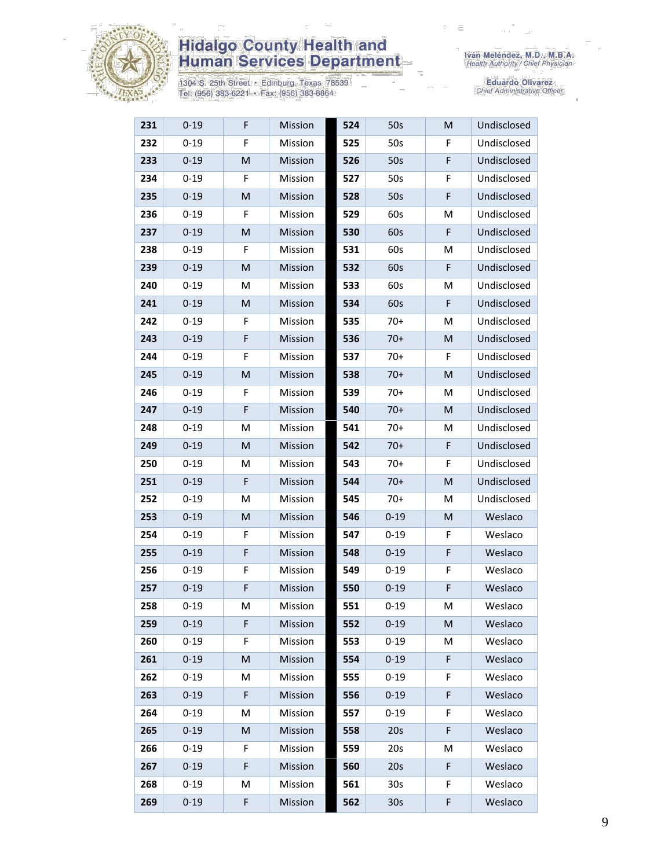

1304 S. 25th Street • Edinburg, Texas 78539<br>Tel: (956) 383-6221 • Fax: (956) 383-8864

| 231 | $0 - 19$ | F | Mission | 524 | 50s             | M | Undisclosed |
|-----|----------|---|---------|-----|-----------------|---|-------------|
| 232 | $0 - 19$ | F | Mission | 525 | 50s             | F | Undisclosed |
| 233 | $0 - 19$ | M | Mission | 526 | 50s             | F | Undisclosed |
| 234 | $0 - 19$ | F | Mission | 527 | 50s             | F | Undisclosed |
| 235 | $0 - 19$ | M | Mission | 528 | 50s             | F | Undisclosed |
| 236 | $0 - 19$ | F | Mission | 529 | 60s             | M | Undisclosed |
| 237 | $0 - 19$ | M | Mission | 530 | 60s             | F | Undisclosed |
| 238 | $0 - 19$ | F | Mission | 531 | 60s             | M | Undisclosed |
| 239 | $0 - 19$ | M | Mission | 532 | 60s             | F | Undisclosed |
| 240 | $0 - 19$ | M | Mission | 533 | 60s             | M | Undisclosed |
| 241 | $0 - 19$ | M | Mission | 534 | 60s             | F | Undisclosed |
| 242 | $0 - 19$ | F | Mission | 535 | $70+$           | M | Undisclosed |
| 243 | $0 - 19$ | F | Mission | 536 | $70+$           | M | Undisclosed |
| 244 | $0 - 19$ | F | Mission | 537 | $70+$           | F | Undisclosed |
| 245 | $0 - 19$ | M | Mission | 538 | $70+$           | M | Undisclosed |
| 246 | $0 - 19$ | F | Mission | 539 | $70+$           | M | Undisclosed |
| 247 | $0 - 19$ | F | Mission | 540 | $70+$           | M | Undisclosed |
| 248 | $0 - 19$ | M | Mission | 541 | $70+$           | M | Undisclosed |
| 249 | $0 - 19$ | M | Mission | 542 | $70+$           | F | Undisclosed |
| 250 | $0 - 19$ | M | Mission | 543 | $70+$           | F | Undisclosed |
| 251 | $0 - 19$ | F | Mission | 544 | $70+$           | M | Undisclosed |
| 252 | $0 - 19$ | M | Mission | 545 | $70+$           | M | Undisclosed |
| 253 | $0 - 19$ | M | Mission | 546 | $0 - 19$        | M | Weslaco     |
| 254 | $0 - 19$ | F | Mission | 547 | $0 - 19$        | F | Weslaco     |
| 255 | $0 - 19$ | F | Mission | 548 | $0 - 19$        | F | Weslaco     |
| 256 | $0 - 19$ | F | Mission | 549 | $0 - 19$        | F | Weslaco     |
| 257 | $0 - 19$ | F | Mission | 550 | $0 - 19$        | F | Weslaco     |
| 258 | $0 - 19$ | M | Mission | 551 | $0 - 19$        | M | Weslaco     |
| 259 | $0 - 19$ | F | Mission | 552 | $0 - 19$        | M | Weslaco     |
| 260 | $0 - 19$ | F | Mission | 553 | $0 - 19$        | M | Weslaco     |
| 261 | $0 - 19$ | M | Mission | 554 | $0 - 19$        | F | Weslaco     |
| 262 | $0 - 19$ | M | Mission | 555 | $0 - 19$        | F | Weslaco     |
| 263 | $0 - 19$ | F | Mission | 556 | $0 - 19$        | F | Weslaco     |
| 264 | $0 - 19$ | Μ | Mission | 557 | $0 - 19$        | F | Weslaco     |
| 265 | $0 - 19$ | M | Mission | 558 | 20s             | F | Weslaco     |
| 266 | $0 - 19$ | F | Mission | 559 | 20s             | м | Weslaco     |
| 267 | $0 - 19$ | F | Mission | 560 | 20s             | F | Weslaco     |
| 268 | $0 - 19$ | М | Mission | 561 | 30 <sub>s</sub> | F | Weslaco     |
| 269 | $0 - 19$ | F | Mission | 562 | 30 <sub>s</sub> | F | Weslaco     |